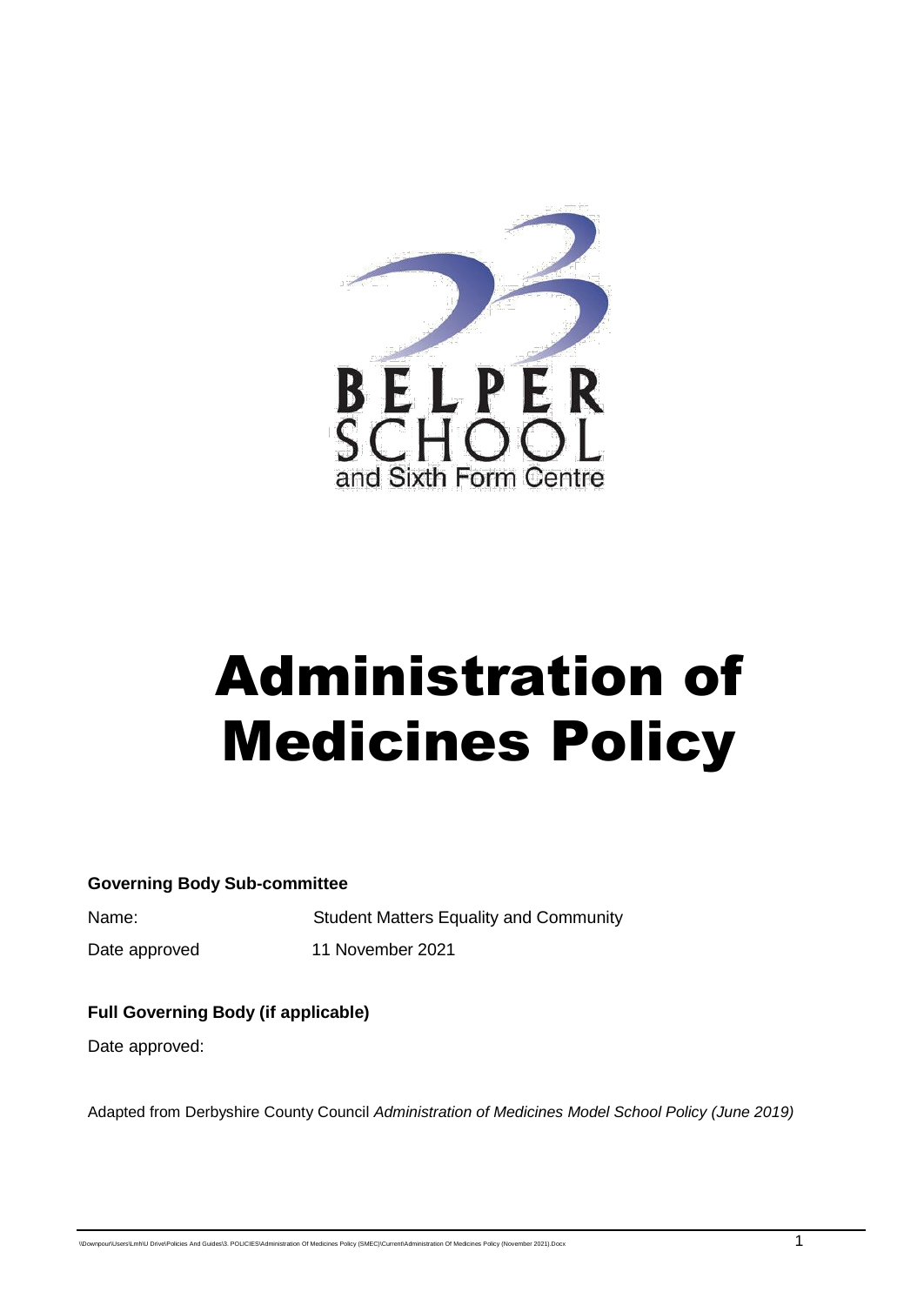

# Administration of Medicines Policy

**Governing Body Sub-committee**

Name: Student Matters Equality and Community Date approved 11 November 2021

#### **Full Governing Body (if applicable)**

Date approved:

Adapted from Derbyshire County Council *Administration of Medicines Model School Policy (June 2019)*

 $\nonumber$ mpour\Users\Lmh\U Drive\Policies And Guides\3. POLICIES\Administration Of Medicines Policy (SMEC)\Current\Administration Of Medicines Policy (November 2021).Docx 1 Proposers And Guides\3. POLICIES\Administration Of Me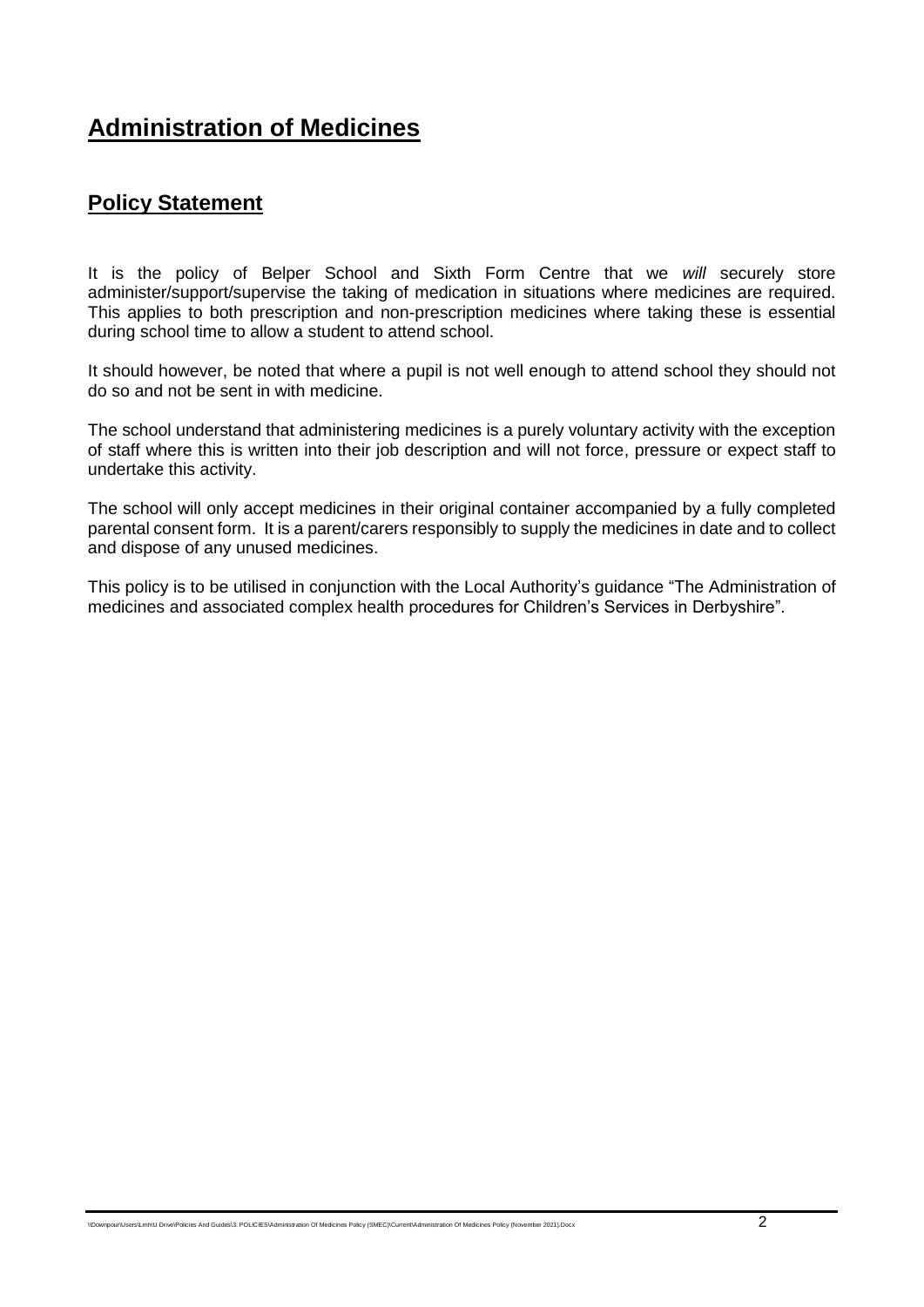# **Administration of Medicines**

## **Policy Statement**

It is the policy of Belper School and Sixth Form Centre that we *will* securely store administer/support/supervise the taking of medication in situations where medicines are required. This applies to both prescription and non-prescription medicines where taking these is essential during school time to allow a student to attend school.

It should however, be noted that where a pupil is not well enough to attend school they should not do so and not be sent in with medicine.

The school understand that administering medicines is a purely voluntary activity with the exception of staff where this is written into their job description and will not force, pressure or expect staff to undertake this activity.

The school will only accept medicines in their original container accompanied by a fully completed parental consent form. It is a parent/carers responsibly to supply the medicines in date and to collect and dispose of any unused medicines.

This policy is to be utilised in conjunction with the Local Authority's guidance "The Administration of medicines and associated complex health procedures for Children's Services in Derbyshire".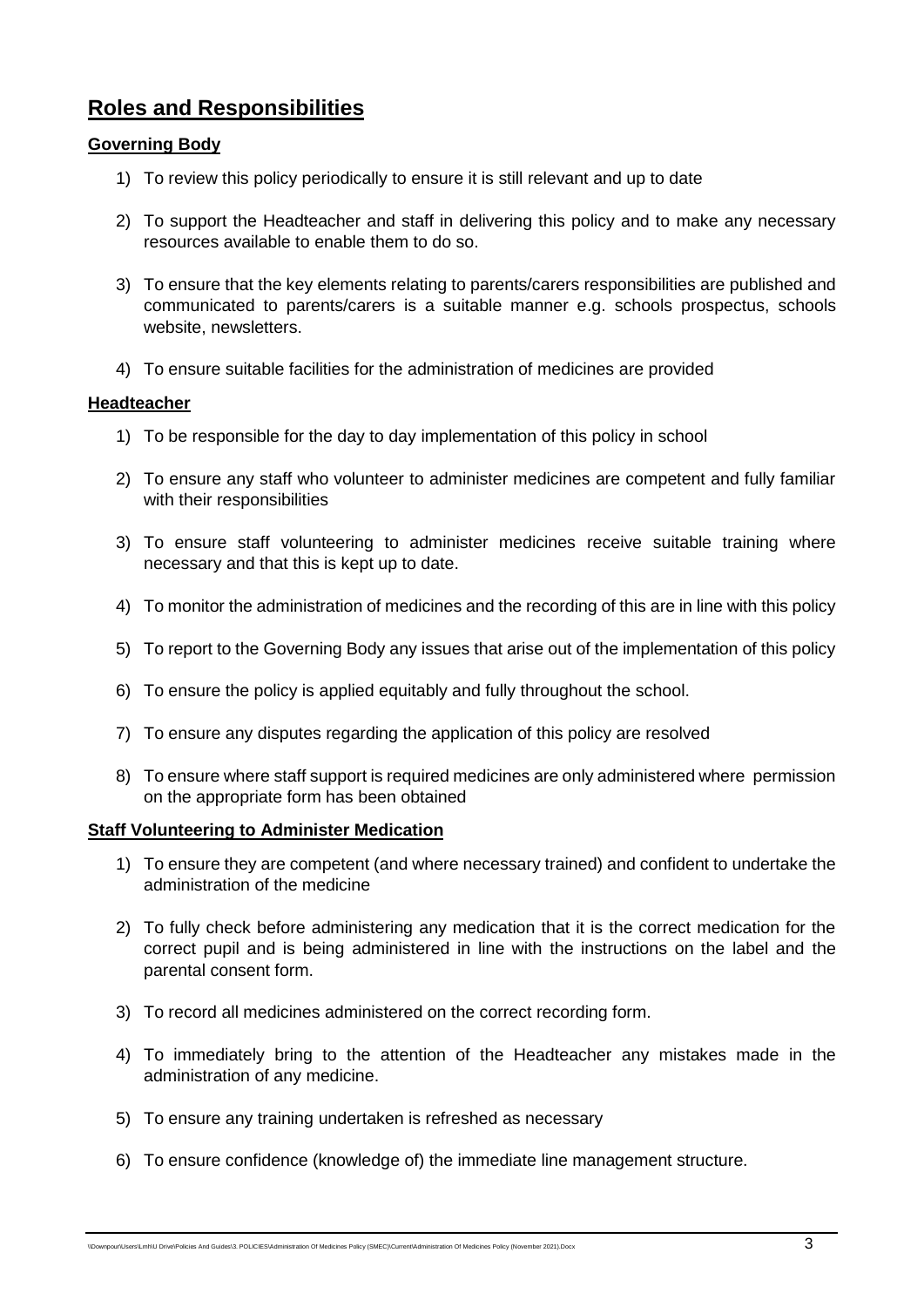## **Roles and Responsibilities**

#### **Governing Body**

- 1) To review this policy periodically to ensure it is still relevant and up to date
- 2) To support the Headteacher and staff in delivering this policy and to make any necessary resources available to enable them to do so.
- 3) To ensure that the key elements relating to parents/carers responsibilities are published and communicated to parents/carers is a suitable manner e.g. schools prospectus, schools website, newsletters.
- 4) To ensure suitable facilities for the administration of medicines are provided

#### **Headteacher**

- 1) To be responsible for the day to day implementation of this policy in school
- 2) To ensure any staff who volunteer to administer medicines are competent and fully familiar with their responsibilities
- 3) To ensure staff volunteering to administer medicines receive suitable training where necessary and that this is kept up to date.
- 4) To monitor the administration of medicines and the recording of this are in line with this policy
- 5) To report to the Governing Body any issues that arise out of the implementation of this policy
- 6) To ensure the policy is applied equitably and fully throughout the school.
- 7) To ensure any disputes regarding the application of this policy are resolved
- 8) To ensure where staff support is required medicines are only administered where permission on the appropriate form has been obtained

#### **Staff Volunteering to Administer Medication**

- 1) To ensure they are competent (and where necessary trained) and confident to undertake the administration of the medicine
- 2) To fully check before administering any medication that it is the correct medication for the correct pupil and is being administered in line with the instructions on the label and the parental consent form.
- 3) To record all medicines administered on the correct recording form.
- 4) To immediately bring to the attention of the Headteacher any mistakes made in the administration of any medicine.
- 5) To ensure any training undertaken is refreshed as necessary
- 6) To ensure confidence (knowledge of) the immediate line management structure.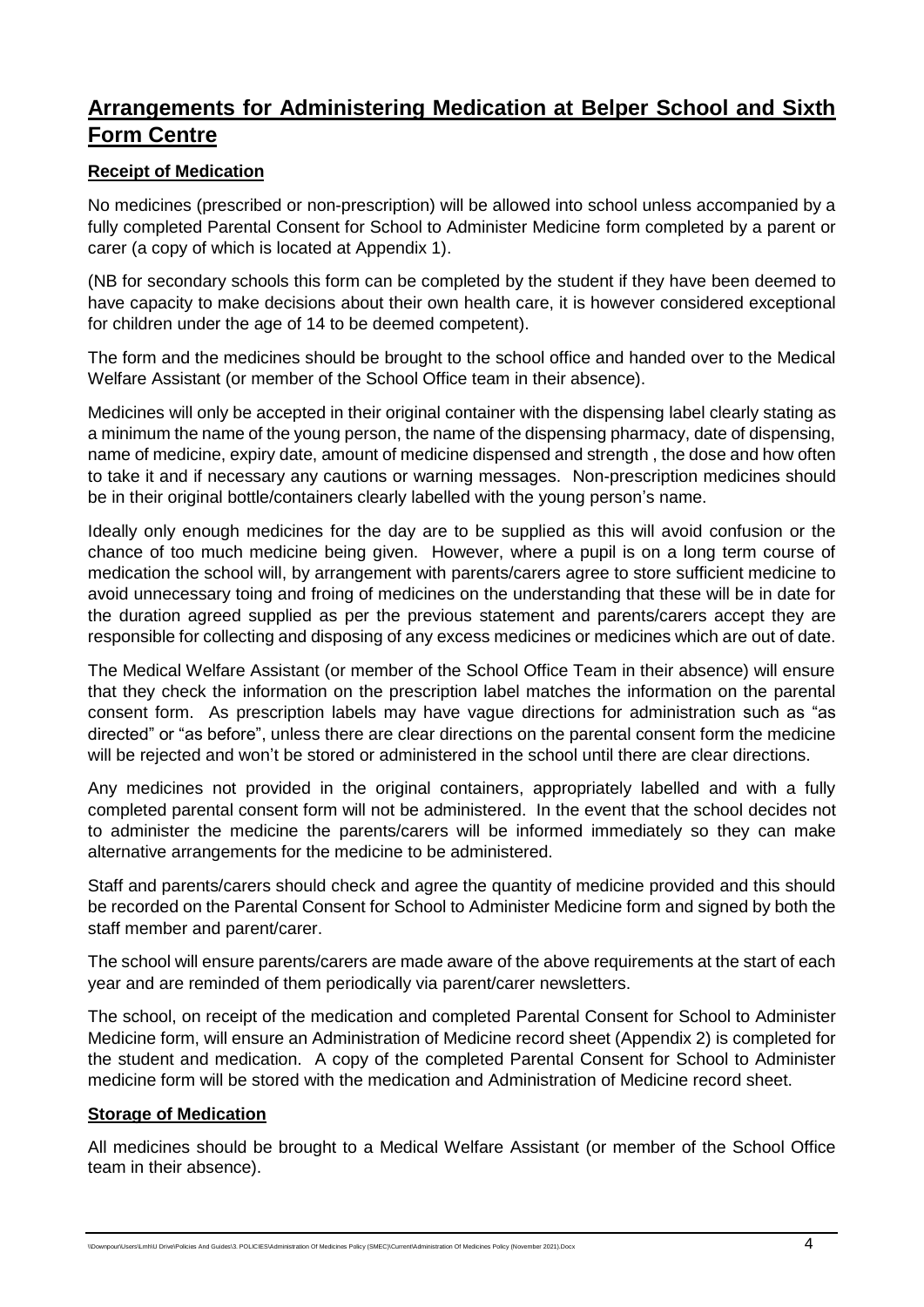## **Arrangements for Administering Medication at Belper School and Sixth Form Centre**

#### **Receipt of Medication**

No medicines (prescribed or non-prescription) will be allowed into school unless accompanied by a fully completed Parental Consent for School to Administer Medicine form completed by a parent or carer (a copy of which is located at Appendix 1).

(NB for secondary schools this form can be completed by the student if they have been deemed to have capacity to make decisions about their own health care, it is however considered exceptional for children under the age of 14 to be deemed competent).

The form and the medicines should be brought to the school office and handed over to the Medical Welfare Assistant (or member of the School Office team in their absence).

Medicines will only be accepted in their original container with the dispensing label clearly stating as a minimum the name of the young person, the name of the dispensing pharmacy, date of dispensing, name of medicine, expiry date, amount of medicine dispensed and strength , the dose and how often to take it and if necessary any cautions or warning messages. Non-prescription medicines should be in their original bottle/containers clearly labelled with the young person's name.

Ideally only enough medicines for the day are to be supplied as this will avoid confusion or the chance of too much medicine being given. However, where a pupil is on a long term course of medication the school will, by arrangement with parents/carers agree to store sufficient medicine to avoid unnecessary toing and froing of medicines on the understanding that these will be in date for the duration agreed supplied as per the previous statement and parents/carers accept they are responsible for collecting and disposing of any excess medicines or medicines which are out of date.

The Medical Welfare Assistant (or member of the School Office Team in their absence) will ensure that they check the information on the prescription label matches the information on the parental consent form. As prescription labels may have vague directions for administration such as "as directed" or "as before", unless there are clear directions on the parental consent form the medicine will be rejected and won't be stored or administered in the school until there are clear directions.

Any medicines not provided in the original containers, appropriately labelled and with a fully completed parental consent form will not be administered. In the event that the school decides not to administer the medicine the parents/carers will be informed immediately so they can make alternative arrangements for the medicine to be administered.

Staff and parents/carers should check and agree the quantity of medicine provided and this should be recorded on the Parental Consent for School to Administer Medicine form and signed by both the staff member and parent/carer.

The school will ensure parents/carers are made aware of the above requirements at the start of each year and are reminded of them periodically via parent/carer newsletters.

The school, on receipt of the medication and completed Parental Consent for School to Administer Medicine form, will ensure an Administration of Medicine record sheet (Appendix 2) is completed for the student and medication. A copy of the completed Parental Consent for School to Administer medicine form will be stored with the medication and Administration of Medicine record sheet.

#### **Storage of Medication**

All medicines should be brought to a Medical Welfare Assistant (or member of the School Office team in their absence).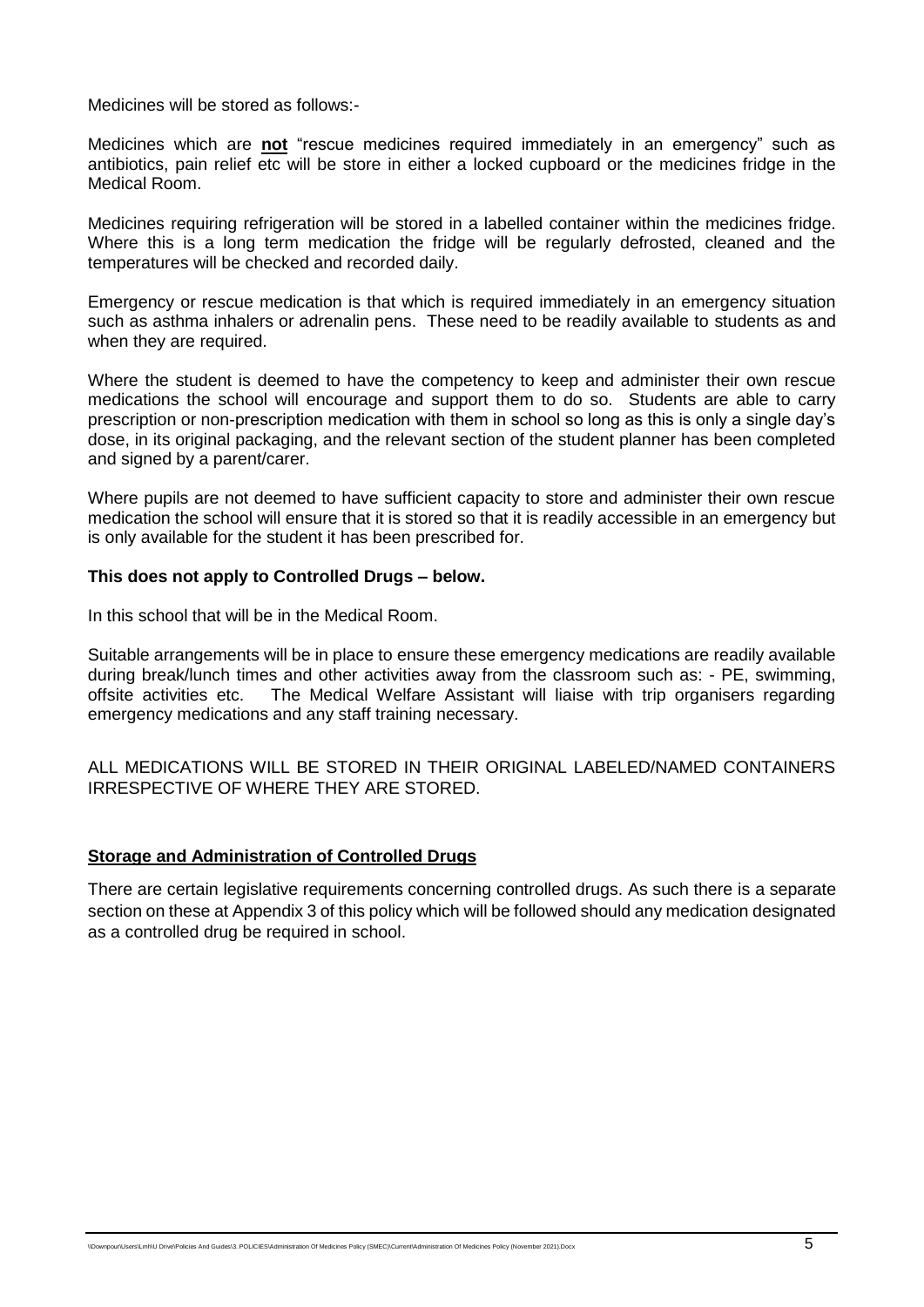Medicines will be stored as follows:-

Medicines which are **not** "rescue medicines required immediately in an emergency" such as antibiotics, pain relief etc will be store in either a locked cupboard or the medicines fridge in the Medical Room.

Medicines requiring refrigeration will be stored in a labelled container within the medicines fridge. Where this is a long term medication the fridge will be regularly defrosted, cleaned and the temperatures will be checked and recorded daily.

Emergency or rescue medication is that which is required immediately in an emergency situation such as asthma inhalers or adrenalin pens. These need to be readily available to students as and when they are required.

Where the student is deemed to have the competency to keep and administer their own rescue medications the school will encourage and support them to do so. Students are able to carry prescription or non-prescription medication with them in school so long as this is only a single day's dose, in its original packaging, and the relevant section of the student planner has been completed and signed by a parent/carer.

Where pupils are not deemed to have sufficient capacity to store and administer their own rescue medication the school will ensure that it is stored so that it is readily accessible in an emergency but is only available for the student it has been prescribed for.

#### **This does not apply to Controlled Drugs – below.**

In this school that will be in the Medical Room.

Suitable arrangements will be in place to ensure these emergency medications are readily available during break/lunch times and other activities away from the classroom such as: - PE, swimming, offsite activities etc. The Medical Welfare Assistant will liaise with trip organisers regarding emergency medications and any staff training necessary.

ALL MEDICATIONS WILL BE STORED IN THEIR ORIGINAL LABELED/NAMED CONTAINERS IRRESPECTIVE OF WHERE THEY ARE STORED.

#### **Storage and Administration of Controlled Drugs**

There are certain legislative requirements concerning controlled drugs. As such there is a separate section on these at Appendix 3 of this policy which will be followed should any medication designated as a controlled drug be required in school.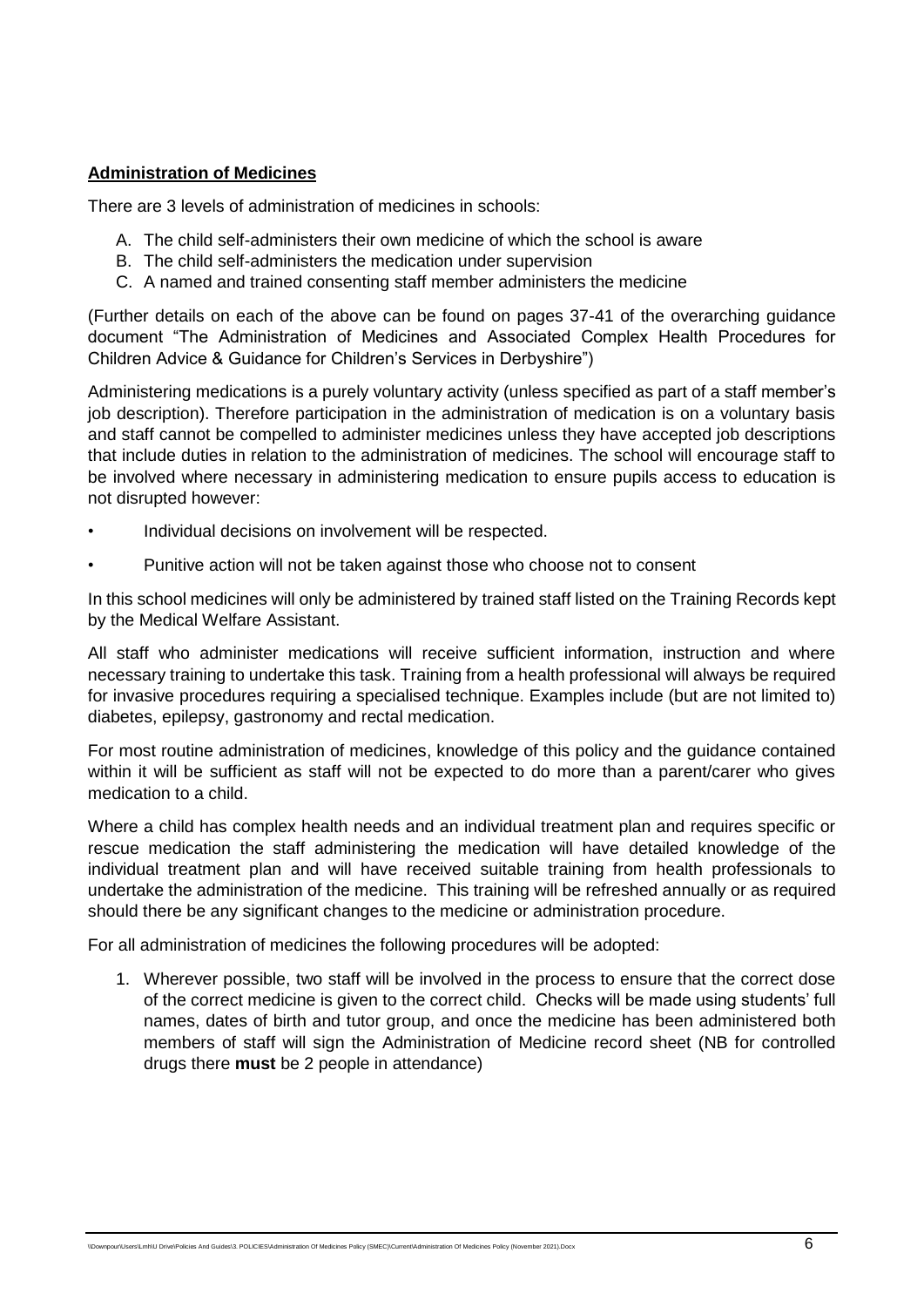#### **Administration of Medicines**

There are 3 levels of administration of medicines in schools:

- A. The child self-administers their own medicine of which the school is aware
- B. The child self-administers the medication under supervision
- C. A named and trained consenting staff member administers the medicine

(Further details on each of the above can be found on pages 37-41 of the overarching guidance document "The Administration of Medicines and Associated Complex Health Procedures for Children Advice & Guidance for Children's Services in Derbyshire")

Administering medications is a purely voluntary activity (unless specified as part of a staff member's job description). Therefore participation in the administration of medication is on a voluntary basis and staff cannot be compelled to administer medicines unless they have accepted job descriptions that include duties in relation to the administration of medicines. The school will encourage staff to be involved where necessary in administering medication to ensure pupils access to education is not disrupted however:

- Individual decisions on involvement will be respected.
- Punitive action will not be taken against those who choose not to consent

In this school medicines will only be administered by trained staff listed on the Training Records kept by the Medical Welfare Assistant.

All staff who administer medications will receive sufficient information, instruction and where necessary training to undertake this task. Training from a health professional will always be required for invasive procedures requiring a specialised technique. Examples include (but are not limited to) diabetes, epilepsy, gastronomy and rectal medication.

For most routine administration of medicines, knowledge of this policy and the guidance contained within it will be sufficient as staff will not be expected to do more than a parent/carer who gives medication to a child.

Where a child has complex health needs and an individual treatment plan and requires specific or rescue medication the staff administering the medication will have detailed knowledge of the individual treatment plan and will have received suitable training from health professionals to undertake the administration of the medicine. This training will be refreshed annually or as required should there be any significant changes to the medicine or administration procedure.

For all administration of medicines the following procedures will be adopted:

1. Wherever possible, two staff will be involved in the process to ensure that the correct dose of the correct medicine is given to the correct child. Checks will be made using students' full names, dates of birth and tutor group, and once the medicine has been administered both members of staff will sign the Administration of Medicine record sheet (NB for controlled drugs there **must** be 2 people in attendance)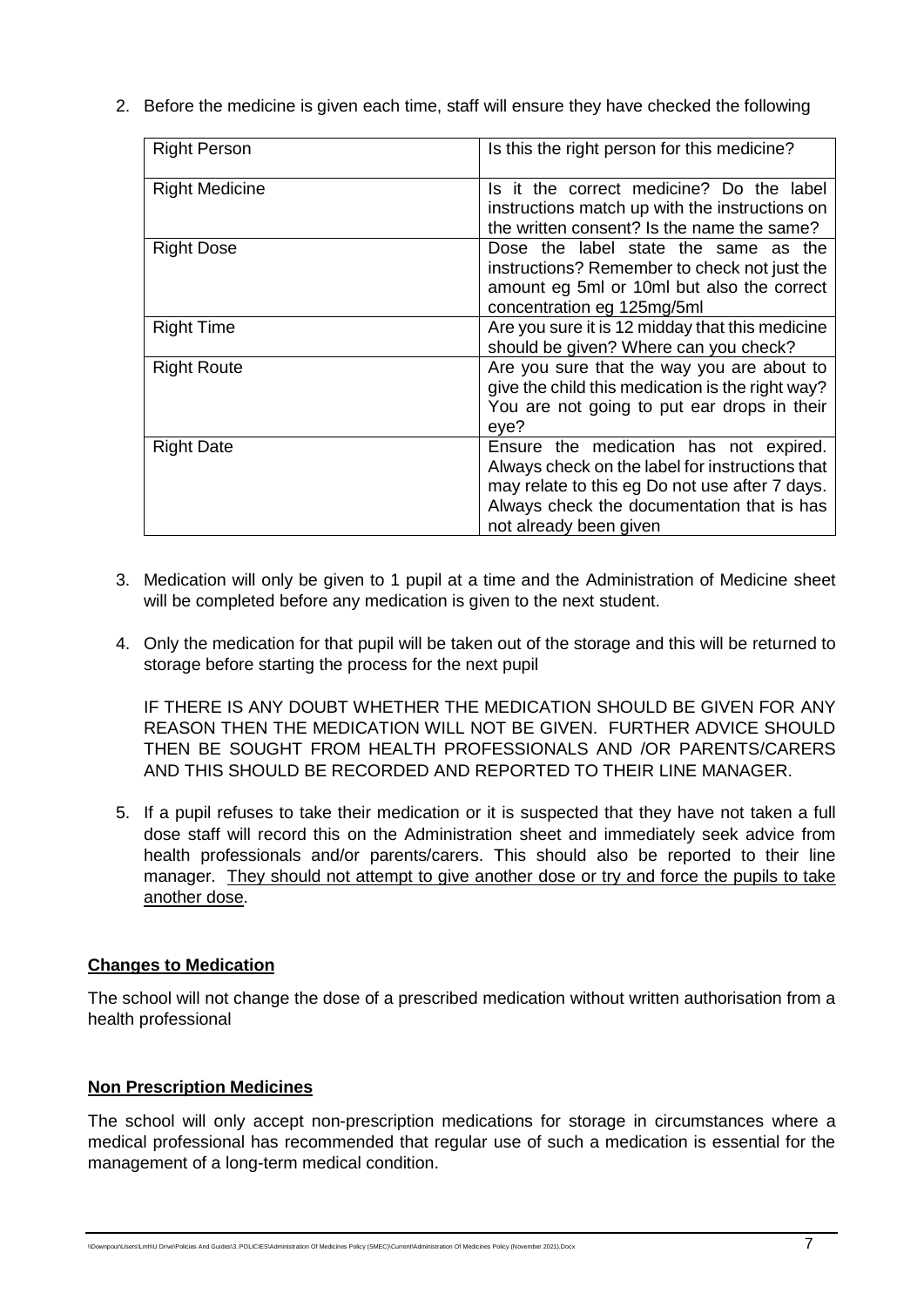2. Before the medicine is given each time, staff will ensure they have checked the following

| <b>Right Person</b>   | Is this the right person for this medicine?                                                                                                                                                                         |
|-----------------------|---------------------------------------------------------------------------------------------------------------------------------------------------------------------------------------------------------------------|
| <b>Right Medicine</b> | Is it the correct medicine? Do the label<br>instructions match up with the instructions on<br>the written consent? Is the name the same?                                                                            |
| <b>Right Dose</b>     | Dose the label state the same as the<br>instructions? Remember to check not just the<br>amount eg 5ml or 10ml but also the correct<br>concentration eg 125mg/5ml                                                    |
| <b>Right Time</b>     | Are you sure it is 12 midday that this medicine<br>should be given? Where can you check?                                                                                                                            |
| <b>Right Route</b>    | Are you sure that the way you are about to<br>give the child this medication is the right way?<br>You are not going to put ear drops in their<br>eye?                                                               |
| <b>Right Date</b>     | Ensure the medication has not expired.<br>Always check on the label for instructions that<br>may relate to this eg Do not use after 7 days.<br>Always check the documentation that is has<br>not already been given |

- 3. Medication will only be given to 1 pupil at a time and the Administration of Medicine sheet will be completed before any medication is given to the next student.
- 4. Only the medication for that pupil will be taken out of the storage and this will be returned to storage before starting the process for the next pupil

IF THERE IS ANY DOUBT WHETHER THE MEDICATION SHOULD BE GIVEN FOR ANY REASON THEN THE MEDICATION WILL NOT BE GIVEN. FURTHER ADVICE SHOULD THEN BE SOUGHT FROM HEALTH PROFESSIONALS AND /OR PARENTS/CARERS AND THIS SHOULD BE RECORDED AND REPORTED TO THEIR LINE MANAGER.

5. If a pupil refuses to take their medication or it is suspected that they have not taken a full dose staff will record this on the Administration sheet and immediately seek advice from health professionals and/or parents/carers. This should also be reported to their line manager. They should not attempt to give another dose or try and force the pupils to take another dose.

#### **Changes to Medication**

The school will not change the dose of a prescribed medication without written authorisation from a health professional

#### **Non Prescription Medicines**

The school will only accept non-prescription medications for storage in circumstances where a medical professional has recommended that regular use of such a medication is essential for the management of a long-term medical condition.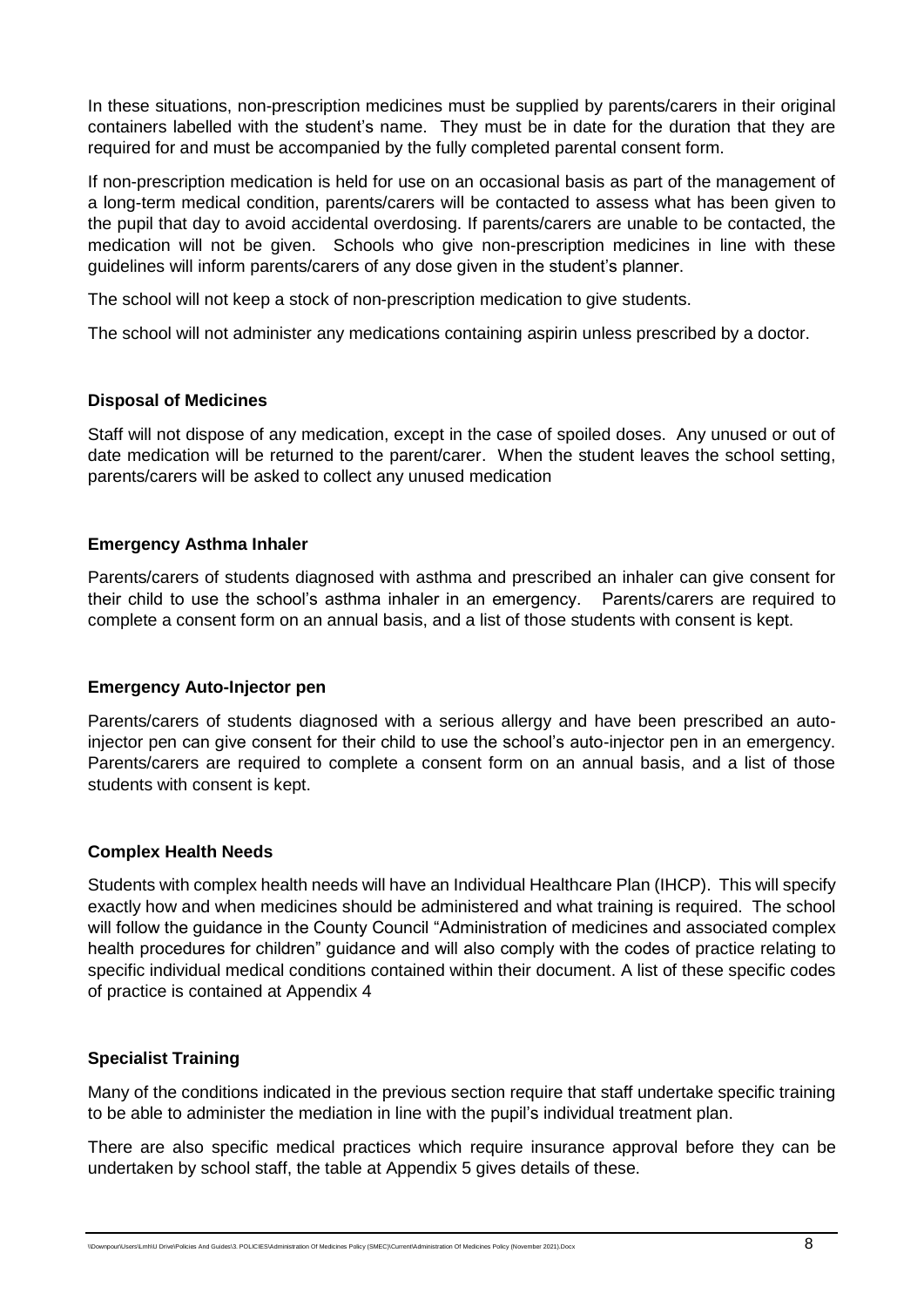In these situations, non-prescription medicines must be supplied by parents/carers in their original containers labelled with the student's name. They must be in date for the duration that they are required for and must be accompanied by the fully completed parental consent form.

If non-prescription medication is held for use on an occasional basis as part of the management of a long-term medical condition, parents/carers will be contacted to assess what has been given to the pupil that day to avoid accidental overdosing. If parents/carers are unable to be contacted, the medication will not be given. Schools who give non-prescription medicines in line with these guidelines will inform parents/carers of any dose given in the student's planner.

The school will not keep a stock of non-prescription medication to give students.

The school will not administer any medications containing aspirin unless prescribed by a doctor.

#### **Disposal of Medicines**

Staff will not dispose of any medication, except in the case of spoiled doses. Any unused or out of date medication will be returned to the parent/carer. When the student leaves the school setting, parents/carers will be asked to collect any unused medication

#### **Emergency Asthma Inhaler**

Parents/carers of students diagnosed with asthma and prescribed an inhaler can give consent for their child to use the school's asthma inhaler in an emergency. Parents/carers are required to complete a consent form on an annual basis, and a list of those students with consent is kept.

#### **Emergency Auto-Injector pen**

Parents/carers of students diagnosed with a serious allergy and have been prescribed an autoinjector pen can give consent for their child to use the school's auto-injector pen in an emergency. Parents/carers are required to complete a consent form on an annual basis, and a list of those students with consent is kept.

#### **Complex Health Needs**

Students with complex health needs will have an Individual Healthcare Plan (IHCP). This will specify exactly how and when medicines should be administered and what training is required. The school will follow the quidance in the County Council "Administration of medicines and associated complex health procedures for children" guidance and will also comply with the codes of practice relating to specific individual medical conditions contained within their document. A list of these specific codes of practice is contained at Appendix 4

#### **Specialist Training**

Many of the conditions indicated in the previous section require that staff undertake specific training to be able to administer the mediation in line with the pupil's individual treatment plan.

There are also specific medical practices which require insurance approval before they can be undertaken by school staff, the table at Appendix 5 gives details of these.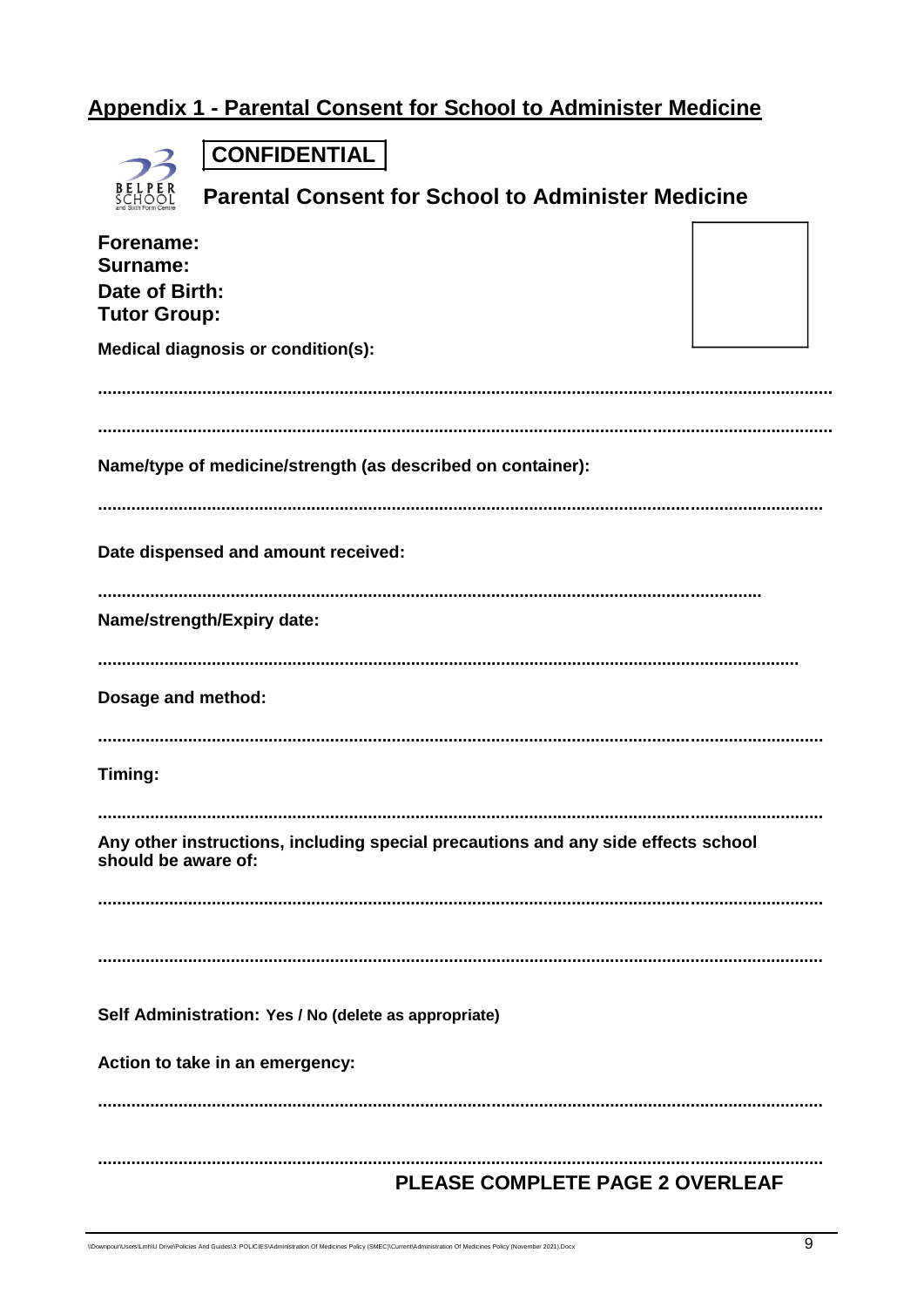# Appendix 1 - Parental Consent for School to Administer Medicine

| B<br>C<br>E<br>E.<br>R<br>P |
|-----------------------------|

**CONFIDENTIAL** 

| BELPER<br>School                                               | <b>Parental Consent for School to Administer Medicine</b>                         |  |
|----------------------------------------------------------------|-----------------------------------------------------------------------------------|--|
| Forename:<br>Surname:<br>Date of Birth:<br><b>Tutor Group:</b> |                                                                                   |  |
|                                                                | <b>Medical diagnosis or condition(s):</b>                                         |  |
|                                                                |                                                                                   |  |
|                                                                | Name/type of medicine/strength (as described on container):                       |  |
|                                                                | Date dispensed and amount received:                                               |  |
|                                                                | Name/strength/Expiry date:                                                        |  |
| Dosage and method:                                             |                                                                                   |  |
| Timing:                                                        |                                                                                   |  |
| should be aware of:                                            | Any other instructions, including special precautions and any side effects school |  |
|                                                                |                                                                                   |  |
|                                                                | Self Administration: Yes / No (delete as appropriate)                             |  |
|                                                                | Action to take in an emergency:                                                   |  |
|                                                                |                                                                                   |  |
|                                                                | PLEASE COMPLETE PAGE 2 OVERLEAF                                                   |  |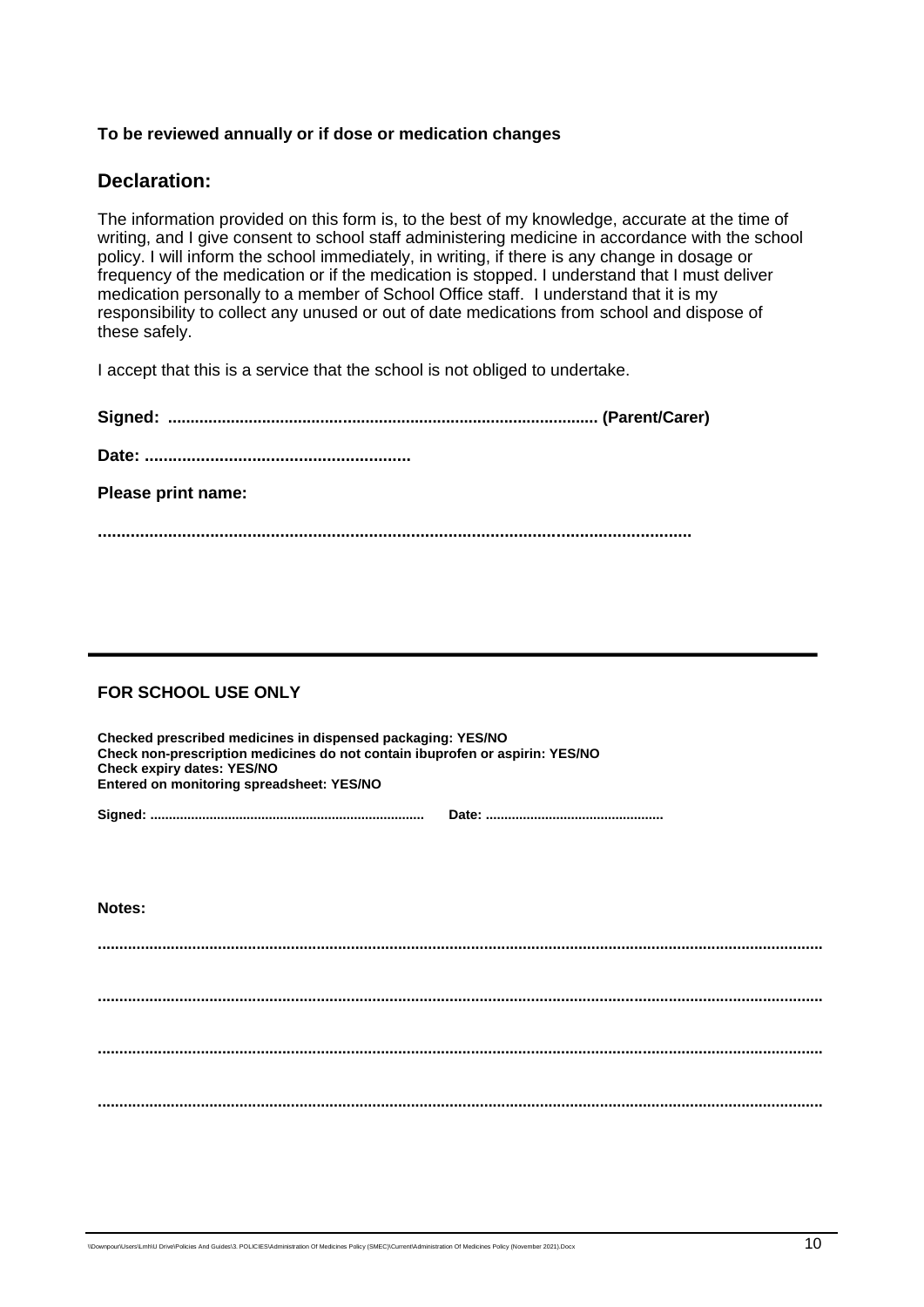#### **To be reviewed annually or if dose or medication changes**

#### **Declaration:**

The information provided on this form is, to the best of my knowledge, accurate at the time of writing, and I give consent to school staff administering medicine in accordance with the school policy. I will inform the school immediately, in writing, if there is any change in dosage or frequency of the medication or if the medication is stopped. I understand that I must deliver medication personally to a member of School Office staff. I understand that it is my responsibility to collect any unused or out of date medications from school and dispose of these safely.

I accept that this is a service that the school is not obliged to undertake.

| Please print name: |  |
|--------------------|--|
|                    |  |

#### **FOR SCHOOL USE ONLY**

| Checked prescribed medicines in dispensed packaging: YES/NO<br>Check non-prescription medicines do not contain ibuprofen or aspirin: YES/NO<br><b>Check expiry dates: YES/NO</b><br>Entered on monitoring spreadsheet: YES/NO |  |
|-------------------------------------------------------------------------------------------------------------------------------------------------------------------------------------------------------------------------------|--|
|                                                                                                                                                                                                                               |  |

**Notes:**

**......................................................................................................................................................................... ......................................................................................................................................................................... ......................................................................................................................................................................... .........................................................................................................................................................................**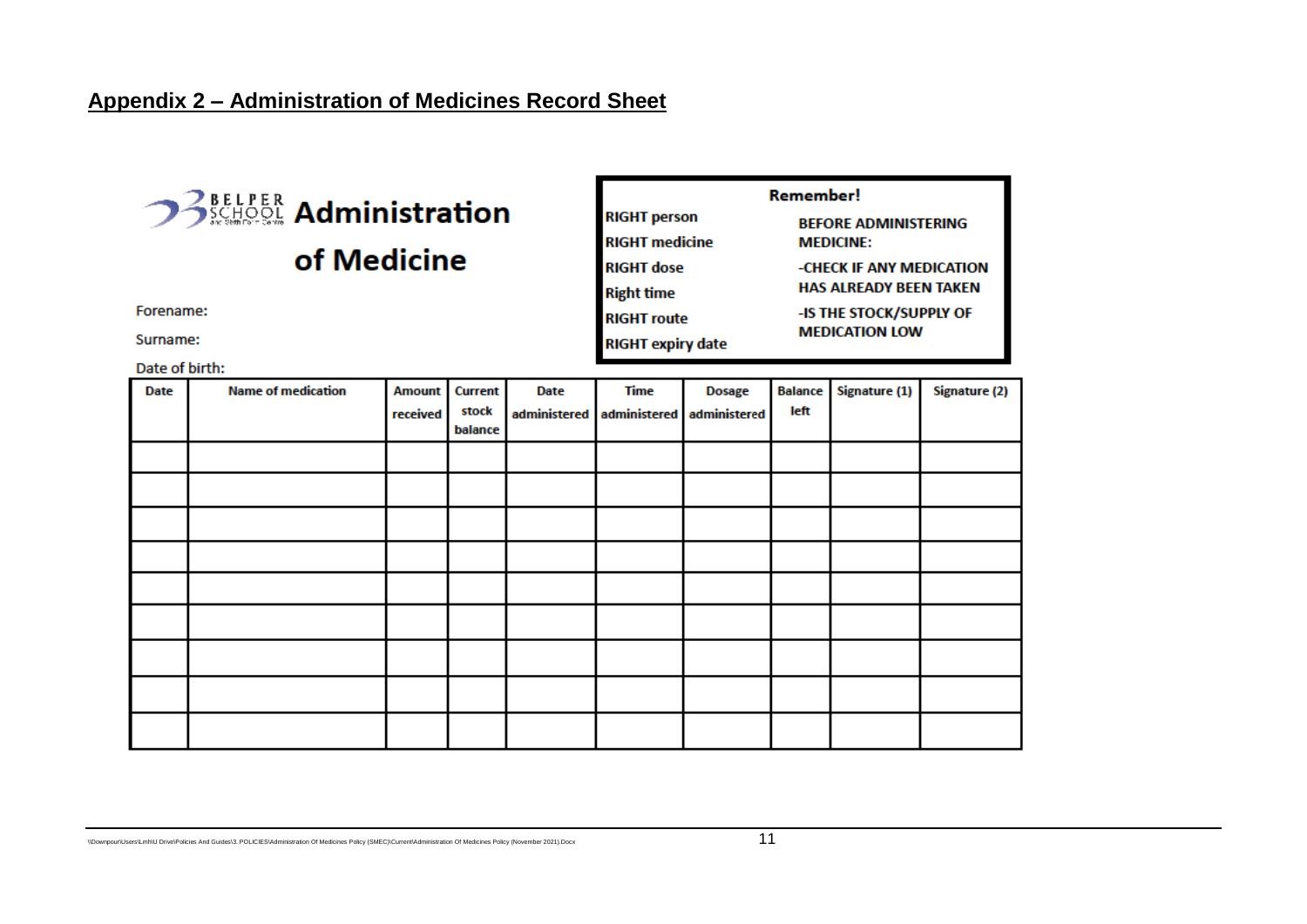## **Appendix 2 – Administration of Medicines Record Sheet**

# of Medicine

Forename:

Surname:

Date of birth:

| Remember!                |                                |  |  |  |
|--------------------------|--------------------------------|--|--|--|
| <b>RIGHT person</b>      | <b>BEFORE ADMINISTERING</b>    |  |  |  |
| <b>RIGHT</b> medicine    | <b>MEDICINE:</b>               |  |  |  |
| <b>RIGHT dose</b>        | -CHECK IF ANY MEDICATION       |  |  |  |
| <b>Right time</b>        | <b>HAS ALREADY BEEN TAKEN</b>  |  |  |  |
| <b>RIGHT</b> route       | <b>-IS THE STOCK/SUPPLY OF</b> |  |  |  |
| <b>RIGHT expiry date</b> | <b>MEDICATION LOW</b>          |  |  |  |

| <b>Date</b> | <b>Name of medication</b> | <b>Amount</b> | <b>Current</b>   | Date         | <b>Time</b>  | <b>Dosage</b> | <b>Balance</b> | Signature (1) | Signature (2) |
|-------------|---------------------------|---------------|------------------|--------------|--------------|---------------|----------------|---------------|---------------|
|             |                           | received      | stock<br>balance | administered | administered | administered  | left           |               |               |
|             |                           |               |                  |              |              |               |                |               |               |
|             |                           |               |                  |              |              |               |                |               |               |
|             |                           |               |                  |              |              |               |                |               |               |
|             |                           |               |                  |              |              |               |                |               |               |
|             |                           |               |                  |              |              |               |                |               |               |
|             |                           |               |                  |              |              |               |                |               |               |
|             |                           |               |                  |              |              |               |                |               |               |
|             |                           |               |                  |              |              |               |                |               |               |
|             |                           |               |                  |              |              |               |                |               |               |
|             |                           |               |                  |              |              |               |                |               |               |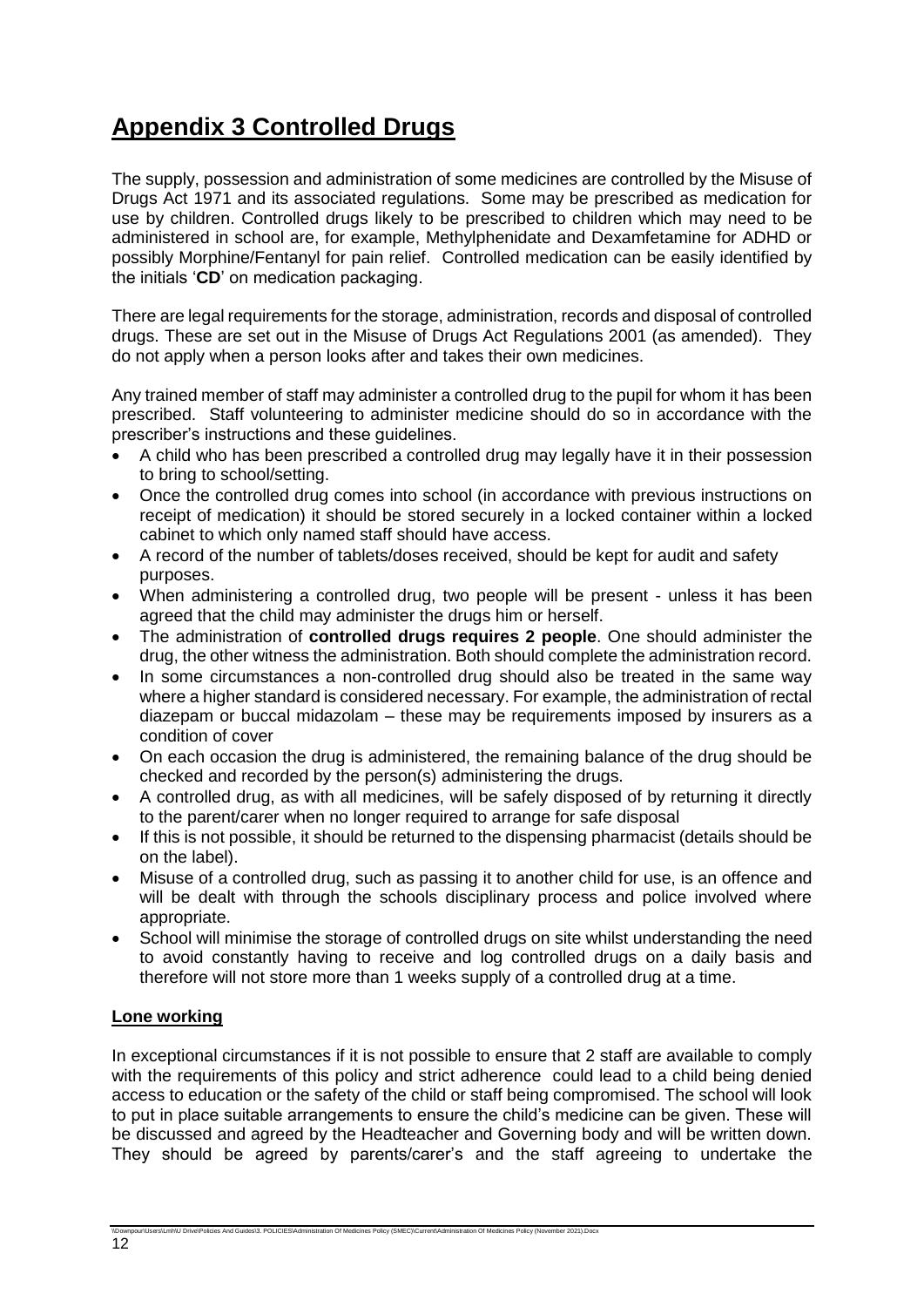# **Appendix 3 Controlled Drugs**

The supply, possession and administration of some medicines are controlled by the Misuse of Drugs Act 1971 and its associated regulations. Some may be prescribed as medication for use by children. Controlled drugs likely to be prescribed to children which may need to be administered in school are, for example, Methylphenidate and Dexamfetamine for ADHD or possibly Morphine/Fentanyl for pain relief. Controlled medication can be easily identified by the initials '**CD**' on medication packaging.

There are legal requirements for the storage, administration, records and disposal of controlled drugs. These are set out in the Misuse of Drugs Act Regulations 2001 (as amended). They do not apply when a person looks after and takes their own medicines.

Any trained member of staff may administer a controlled drug to the pupil for whom it has been prescribed. Staff volunteering to administer medicine should do so in accordance with the prescriber's instructions and these guidelines.

- A child who has been prescribed a controlled drug may legally have it in their possession to bring to school/setting.
- Once the controlled drug comes into school (in accordance with previous instructions on receipt of medication) it should be stored securely in a locked container within a locked cabinet to which only named staff should have access.
- A record of the number of tablets/doses received, should be kept for audit and safety purposes.
- When administering a controlled drug, two people will be present unless it has been agreed that the child may administer the drugs him or herself.
- The administration of **controlled drugs requires 2 people**. One should administer the drug, the other witness the administration. Both should complete the administration record.
- In some circumstances a non-controlled drug should also be treated in the same way where a higher standard is considered necessary. For example, the administration of rectal diazepam or buccal midazolam – these may be requirements imposed by insurers as a condition of cover
- On each occasion the drug is administered, the remaining balance of the drug should be checked and recorded by the person(s) administering the drugs.
- A controlled drug, as with all medicines, will be safely disposed of by returning it directly to the parent/carer when no longer required to arrange for safe disposal
- If this is not possible, it should be returned to the dispensing pharmacist (details should be on the label).
- Misuse of a controlled drug, such as passing it to another child for use, is an offence and will be dealt with through the schools disciplinary process and police involved where appropriate.
- School will minimise the storage of controlled drugs on site whilst understanding the need to avoid constantly having to receive and log controlled drugs on a daily basis and therefore will not store more than 1 weeks supply of a controlled drug at a time.

#### **Lone working**

In exceptional circumstances if it is not possible to ensure that 2 staff are available to comply with the requirements of this policy and strict adherence could lead to a child being denied access to education or the safety of the child or staff being compromised. The school will look to put in place suitable arrangements to ensure the child's medicine can be given. These will be discussed and agreed by the Headteacher and Governing body and will be written down. They should be agreed by parents/carer's and the staff agreeing to undertake the

rs\Lmh\U Drive\Policies And Guides\3. POLICIES\Administration Of Medicines Policy (SMEC)\Current\Administration Of Medicines Policy (November 2021).Docx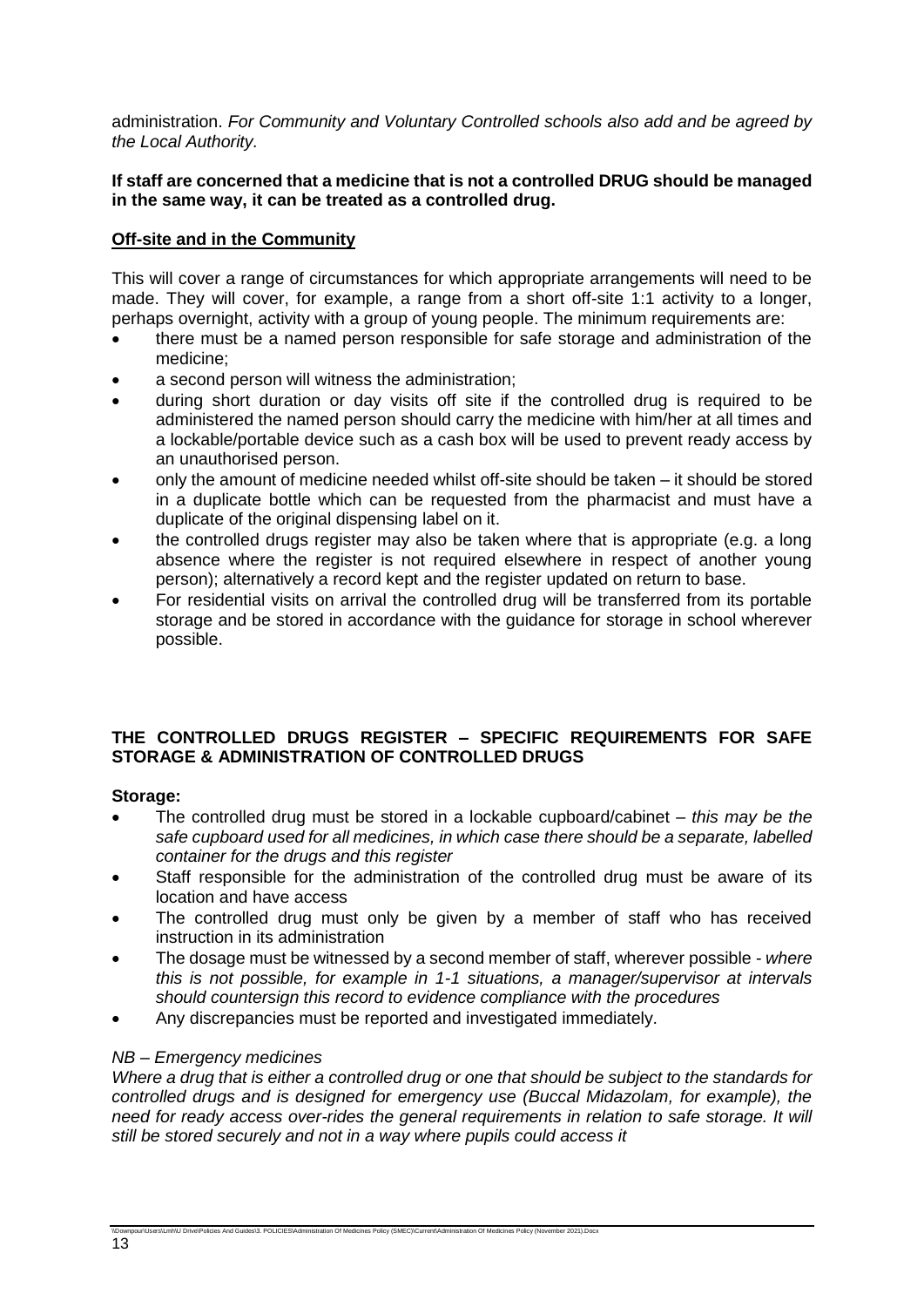administration. *For Community and Voluntary Controlled schools also add and be agreed by the Local Authority.* 

#### **If staff are concerned that a medicine that is not a controlled DRUG should be managed in the same way, it can be treated as a controlled drug.**

#### **Off-site and in the Community**

This will cover a range of circumstances for which appropriate arrangements will need to be made. They will cover, for example, a range from a short off-site 1:1 activity to a longer, perhaps overnight, activity with a group of young people. The minimum requirements are:

- there must be a named person responsible for safe storage and administration of the medicine;
- a second person will witness the administration;
- during short duration or day visits off site if the controlled drug is required to be administered the named person should carry the medicine with him/her at all times and a lockable/portable device such as a cash box will be used to prevent ready access by an unauthorised person.
- only the amount of medicine needed whilst off-site should be taken it should be stored in a duplicate bottle which can be requested from the pharmacist and must have a duplicate of the original dispensing label on it.
- the controlled drugs register may also be taken where that is appropriate (e.g. a long absence where the register is not required elsewhere in respect of another young person); alternatively a record kept and the register updated on return to base.
- For residential visits on arrival the controlled drug will be transferred from its portable storage and be stored in accordance with the guidance for storage in school wherever possible.

#### **THE CONTROLLED DRUGS REGISTER – SPECIFIC REQUIREMENTS FOR SAFE STORAGE & ADMINISTRATION OF CONTROLLED DRUGS**

#### **Storage:**

- The controlled drug must be stored in a lockable cupboard/cabinet *this may be the safe cupboard used for all medicines, in which case there should be a separate, labelled container for the drugs and this register*
- Staff responsible for the administration of the controlled drug must be aware of its location and have access
- The controlled drug must only be given by a member of staff who has received instruction in its administration
- The dosage must be witnessed by a second member of staff, wherever possible *where this is not possible, for example in 1-1 situations, a manager/supervisor at intervals should countersign this record to evidence compliance with the procedures*
- Any discrepancies must be reported and investigated immediately.

\\Downpour\Users\Lmh\U Drive\Policies And Guides\3. POLICIES\Administration Of Medicines Policy (SMEC)\Current\Administration Of Medicines Policy (November 2021).Docx

#### *NB – Emergency medicines*

*Where a drug that is either a controlled drug or one that should be subject to the standards for controlled drugs and is designed for emergency use (Buccal Midazolam, for example), the need for ready access over-rides the general requirements in relation to safe storage. It will still be stored securely and not in a way where pupils could access it*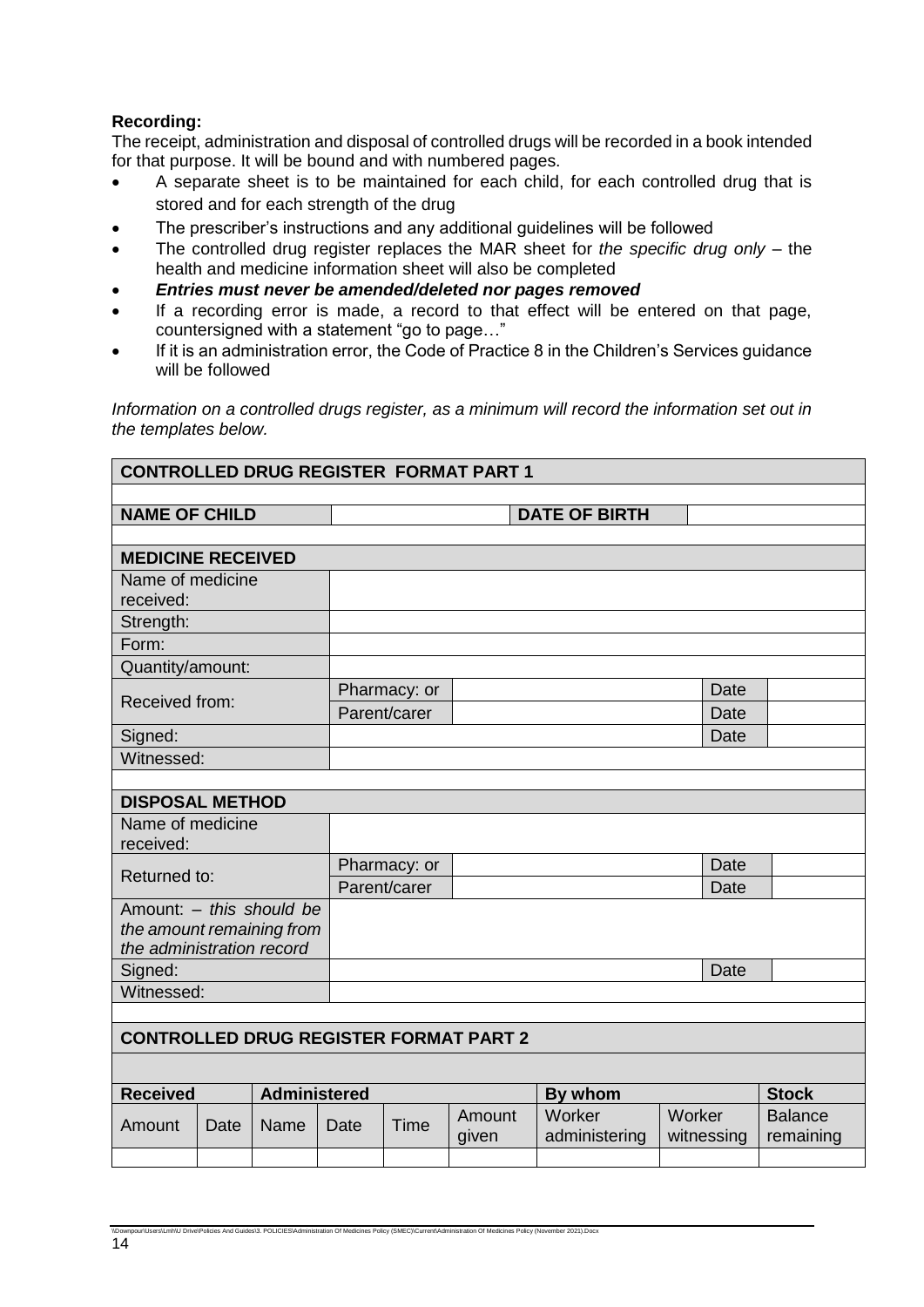#### **Recording:**

The receipt, administration and disposal of controlled drugs will be recorded in a book intended for that purpose. It will be bound and with numbered pages.

- A separate sheet is to be maintained for each child, for each controlled drug that is stored and for each strength of the drug
- The prescriber's instructions and any additional guidelines will be followed
- The controlled drug register replaces the MAR sheet for *the specific drug only* the health and medicine information sheet will also be completed
- *Entries must never be amended/deleted nor pages removed*

\\Downpour\Unity And Guides\3. POLICIES\Administration Of Medicines Policy (SMEC)\Current\Administration Of Medicines Policy (November 2021).Docx

- If a recording error is made, a record to that effect will be entered on that page, countersigned with a statement "go to page…"
- If it is an administration error, the Code of Practice 8 in the Children's Services guidance will be followed

*Information on a controlled drugs register, as a minimum will record the information set out in the templates below.*

| <b>CONTROLLED DRUG REGISTER FORMAT PART 1</b> |             |                     |              |              |                 |                         |             |            |                             |
|-----------------------------------------------|-------------|---------------------|--------------|--------------|-----------------|-------------------------|-------------|------------|-----------------------------|
|                                               |             |                     |              |              |                 |                         |             |            |                             |
| <b>NAME OF CHILD</b>                          |             |                     |              |              |                 | <b>DATE OF BIRTH</b>    |             |            |                             |
|                                               |             |                     |              |              |                 |                         |             |            |                             |
| <b>MEDICINE RECEIVED</b>                      |             |                     |              |              |                 |                         |             |            |                             |
| Name of medicine                              |             |                     |              |              |                 |                         |             |            |                             |
| received:                                     |             |                     |              |              |                 |                         |             |            |                             |
| Strength:                                     |             |                     |              |              |                 |                         |             |            |                             |
| Form:                                         |             |                     |              |              |                 |                         |             |            |                             |
| Quantity/amount:                              |             |                     |              |              |                 |                         |             |            |                             |
| Received from:                                |             |                     |              | Pharmacy: or |                 |                         |             | Date       |                             |
|                                               |             |                     |              | Parent/carer |                 |                         |             | Date       |                             |
| Signed:                                       |             |                     |              |              |                 |                         |             | Date       |                             |
| Witnessed:                                    |             |                     |              |              |                 |                         |             |            |                             |
|                                               |             |                     |              |              |                 |                         |             |            |                             |
| <b>DISPOSAL METHOD</b>                        |             |                     |              |              |                 |                         |             |            |                             |
| Name of medicine                              |             |                     |              |              |                 |                         |             |            |                             |
| received:                                     |             |                     |              |              |                 |                         |             |            |                             |
| Returned to:                                  |             |                     | Pharmacy: or |              |                 |                         | <b>Date</b> |            |                             |
|                                               |             |                     | Parent/carer |              |                 |                         | Date        |            |                             |
| Amount: - this should be                      |             |                     |              |              |                 |                         |             |            |                             |
| the amount remaining from                     |             |                     |              |              |                 |                         |             |            |                             |
| the administration record<br>Signed:          |             |                     |              |              |                 |                         |             | Date       |                             |
| Witnessed:                                    |             |                     |              |              |                 |                         |             |            |                             |
|                                               |             |                     |              |              |                 |                         |             |            |                             |
| <b>CONTROLLED DRUG REGISTER FORMAT PART 2</b> |             |                     |              |              |                 |                         |             |            |                             |
|                                               |             |                     |              |              |                 |                         |             |            |                             |
|                                               |             |                     |              |              |                 |                         |             |            |                             |
| <b>Received</b>                               |             | <b>Administered</b> |              |              |                 |                         | By whom     |            | <b>Stock</b>                |
| Amount                                        | <b>Date</b> | Name                | Date         | Time         | Amount<br>given | Worker<br>administering | Worker      | witnessing | <b>Balance</b><br>remaining |
|                                               |             |                     |              |              |                 |                         |             |            |                             |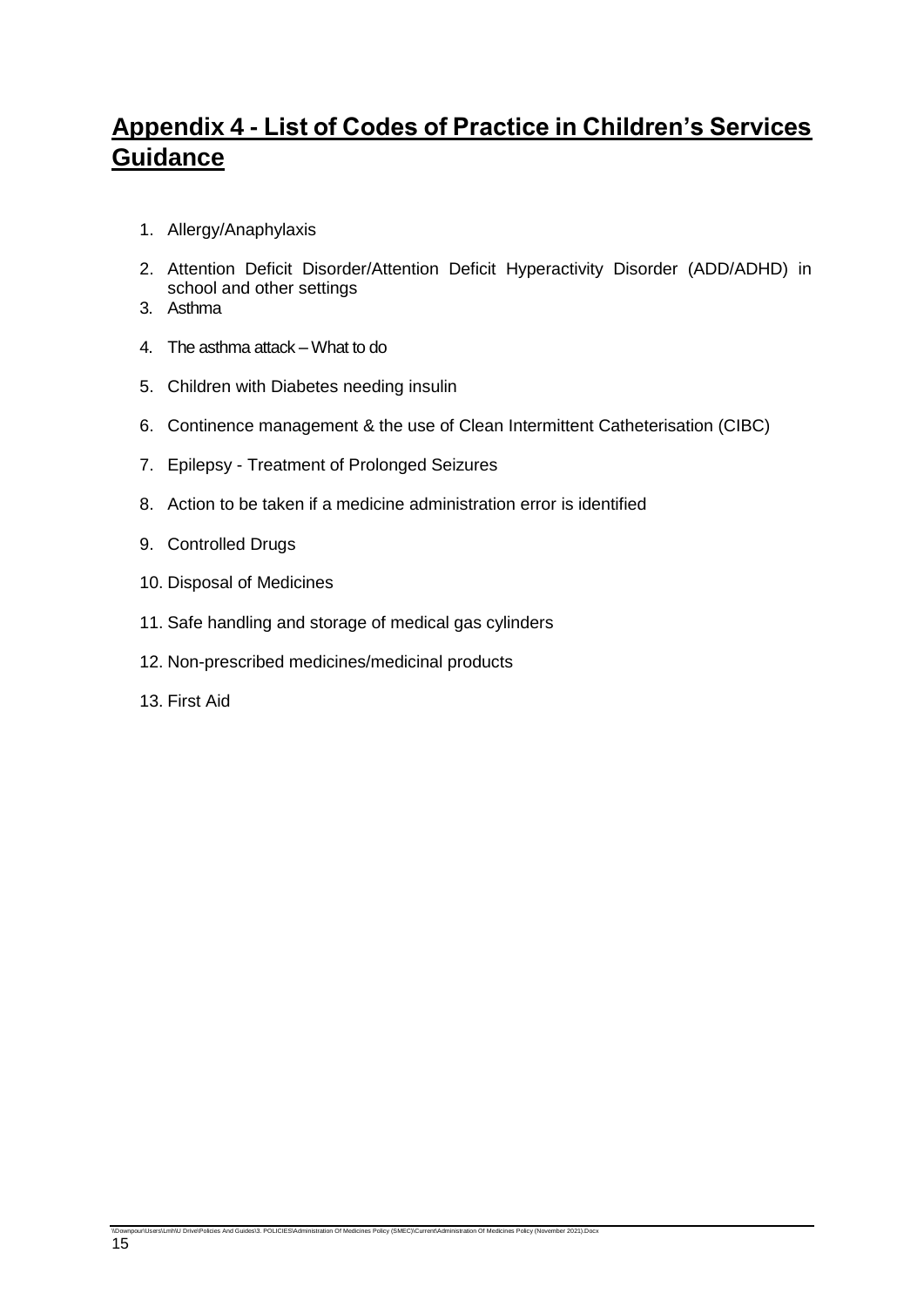# **Appendix 4 - List of Codes of Practice in Children's Services Guidance**

- 1. Allergy/Anaphylaxis
- 2. Attention Deficit Disorder/Attention Deficit Hyperactivity Disorder (ADD/ADHD) in school and other settings
- 3. Asthma
- 4. The asthma attack What to do
- 5. Children with Diabetes needing insulin
- 6. Continence management & the use of Clean Intermittent Catheterisation (CIBC)
- 7. Epilepsy Treatment of Prolonged Seizures
- 8. Action to be taken if a medicine administration error is identified
- 9. Controlled Drugs
- 10. Disposal of Medicines
- 11. Safe handling and storage of medical gas cylinders

\\Downpour\Users\Lmh\U Drive\Policies And Guides\3. POLICIES\Administration Of Medicines Policy (SMEC)\Current\Administration Of Medicines Policy (November 2021).Docx

- 12. Non-prescribed medicines/medicinal products
- 13. First Aid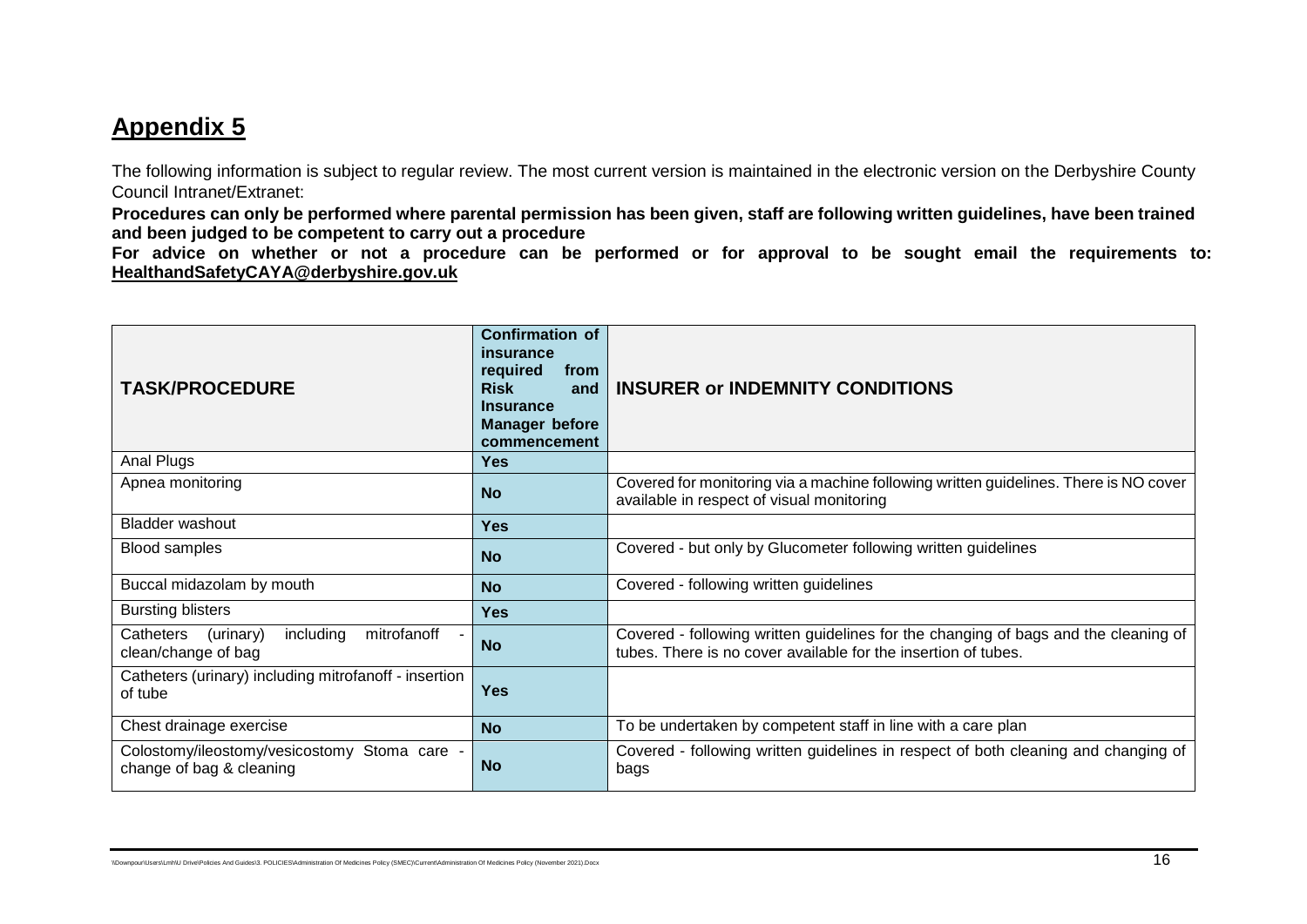# **Appendix 5**

The following information is subject to regular review. The most current version is maintained in the electronic version on the Derbyshire County Council Intranet/Extranet:

**Procedures can only be performed where parental permission has been given, staff are following written guidelines, have been trained and been judged to be competent to carry out a procedure**

**For advice on whether or not a procedure can be performed or for approval to be sought email the requirements to: [HealthandSafetyCAYA@derbyshire.gov.uk](mailto:HealthandSafetyCAYA@derbyshire.gov.uk)**

| <b>TASK/PROCEDURE</b>                                                     | <b>Confirmation of</b><br>insurance<br>required<br>from<br><b>Risk</b><br>and<br><b>Insurance</b><br><b>Manager before</b><br>commencement | <b>INSURER or INDEMNITY CONDITIONS</b>                                                                                                                |
|---------------------------------------------------------------------------|--------------------------------------------------------------------------------------------------------------------------------------------|-------------------------------------------------------------------------------------------------------------------------------------------------------|
| Anal Plugs                                                                | <b>Yes</b>                                                                                                                                 |                                                                                                                                                       |
| Apnea monitoring                                                          | <b>No</b>                                                                                                                                  | Covered for monitoring via a machine following written guidelines. There is NO cover<br>available in respect of visual monitoring                     |
| <b>Bladder washout</b>                                                    | <b>Yes</b>                                                                                                                                 |                                                                                                                                                       |
| <b>Blood samples</b>                                                      | <b>No</b>                                                                                                                                  | Covered - but only by Glucometer following written guidelines                                                                                         |
| Buccal midazolam by mouth                                                 | <b>No</b>                                                                                                                                  | Covered - following written guidelines                                                                                                                |
| <b>Bursting blisters</b>                                                  | <b>Yes</b>                                                                                                                                 |                                                                                                                                                       |
| Catheters<br>(urinary)<br>including<br>mitrofanoff<br>clean/change of bag | <b>No</b>                                                                                                                                  | Covered - following written guidelines for the changing of bags and the cleaning of<br>tubes. There is no cover available for the insertion of tubes. |
| Catheters (urinary) including mitrofanoff - insertion<br>of tube          | <b>Yes</b>                                                                                                                                 |                                                                                                                                                       |
| Chest drainage exercise                                                   | <b>No</b>                                                                                                                                  | To be undertaken by competent staff in line with a care plan                                                                                          |
| Colostomy/ileostomy/vesicostomy Stoma care -<br>change of bag & cleaning  | <b>No</b>                                                                                                                                  | Covered - following written guidelines in respect of both cleaning and changing of<br>bags                                                            |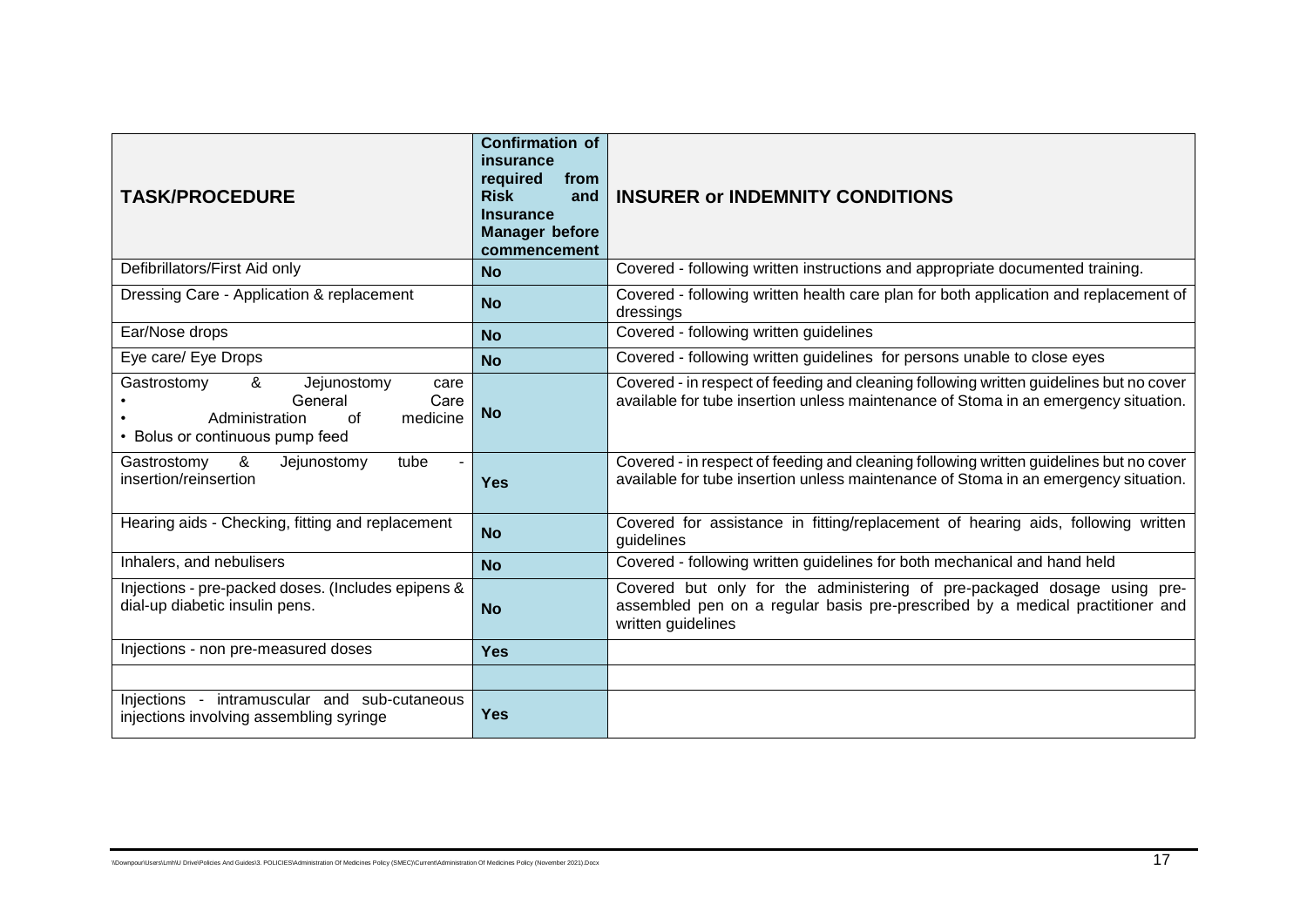| <b>TASK/PROCEDURE</b>                                                                                                             | <b>Confirmation of</b><br>insurance<br>required<br>from<br><b>Risk</b><br>and<br><b>Insurance</b><br><b>Manager before</b><br>commencement | <b>INSURER or INDEMNITY CONDITIONS</b>                                                                                                                                          |
|-----------------------------------------------------------------------------------------------------------------------------------|--------------------------------------------------------------------------------------------------------------------------------------------|---------------------------------------------------------------------------------------------------------------------------------------------------------------------------------|
| Defibrillators/First Aid only                                                                                                     | <b>No</b>                                                                                                                                  | Covered - following written instructions and appropriate documented training.                                                                                                   |
| Dressing Care - Application & replacement                                                                                         | <b>No</b>                                                                                                                                  | Covered - following written health care plan for both application and replacement of<br>dressings                                                                               |
| Ear/Nose drops                                                                                                                    | <b>No</b>                                                                                                                                  | Covered - following written guidelines                                                                                                                                          |
| Eye care/ Eye Drops                                                                                                               | <b>No</b>                                                                                                                                  | Covered - following written guidelines for persons unable to close eyes                                                                                                         |
| Gastrostomy<br>&<br>Jejunostomy<br>care<br>General<br>Care<br>Administration<br>medicine<br>of<br>• Bolus or continuous pump feed | <b>No</b>                                                                                                                                  | Covered - in respect of feeding and cleaning following written guidelines but no cover<br>available for tube insertion unless maintenance of Stoma in an emergency situation.   |
| &<br>Jejunostomy<br>Gastrostomy<br>tube<br>insertion/reinsertion                                                                  | <b>Yes</b>                                                                                                                                 | Covered - in respect of feeding and cleaning following written guidelines but no cover<br>available for tube insertion unless maintenance of Stoma in an emergency situation.   |
| Hearing aids - Checking, fitting and replacement                                                                                  | <b>No</b>                                                                                                                                  | Covered for assistance in fitting/replacement of hearing aids, following written<br>guidelines                                                                                  |
| Inhalers, and nebulisers                                                                                                          | <b>No</b>                                                                                                                                  | Covered - following written guidelines for both mechanical and hand held                                                                                                        |
| Injections - pre-packed doses. (Includes epipens &<br>dial-up diabetic insulin pens.                                              | <b>No</b>                                                                                                                                  | Covered but only for the administering of pre-packaged dosage using pre-<br>assembled pen on a regular basis pre-prescribed by a medical practitioner and<br>written guidelines |
| Injections - non pre-measured doses                                                                                               | <b>Yes</b>                                                                                                                                 |                                                                                                                                                                                 |
|                                                                                                                                   |                                                                                                                                            |                                                                                                                                                                                 |
| Injections - intramuscular and sub-cutaneous<br>injections involving assembling syringe                                           | <b>Yes</b>                                                                                                                                 |                                                                                                                                                                                 |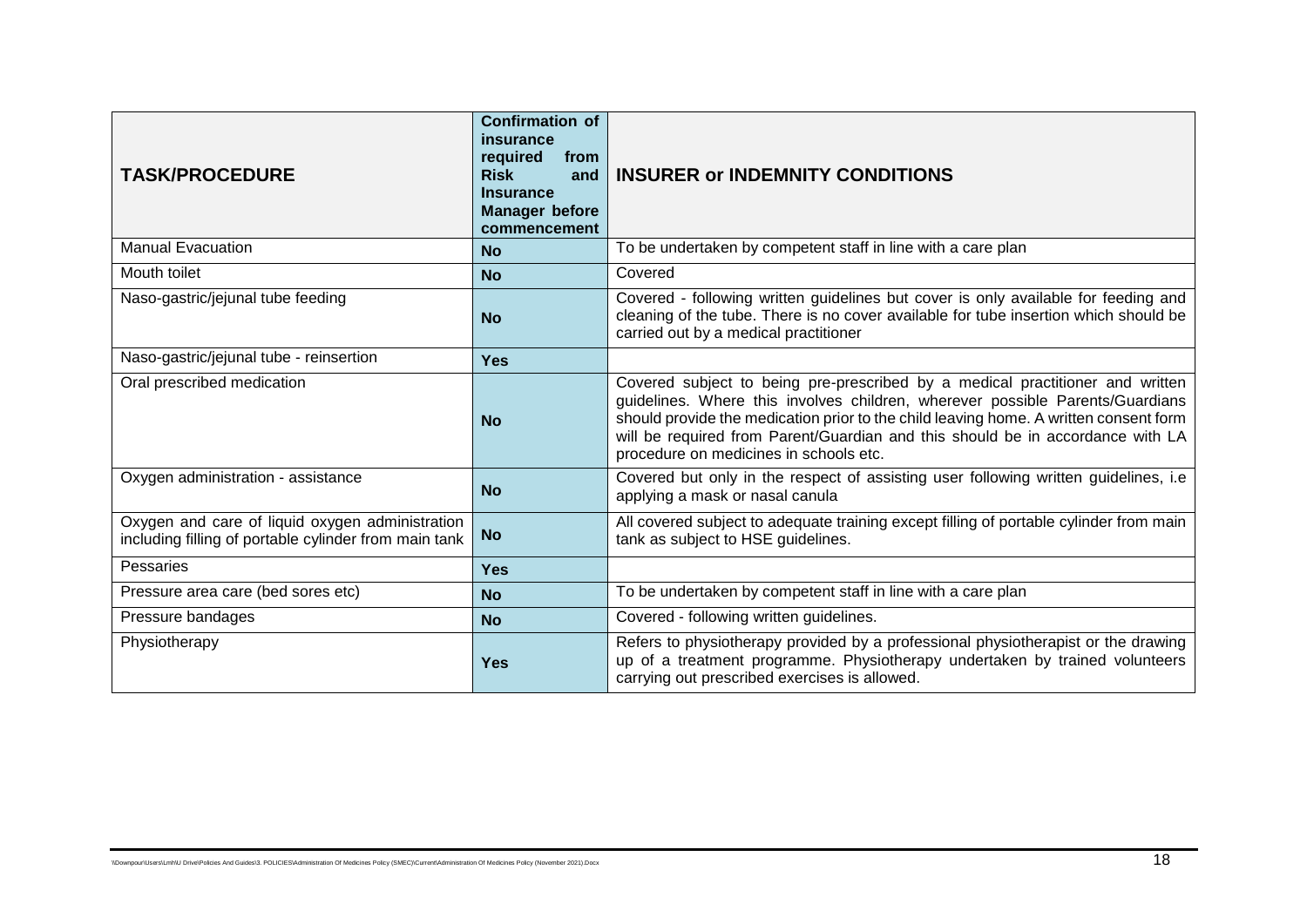| <b>TASK/PROCEDURE</b>                                                                                    | <b>Confirmation of</b><br>insurance<br>required<br>from<br><b>Risk</b><br>and<br><b>Insurance</b><br><b>Manager before</b><br>commencement | <b>INSURER or INDEMNITY CONDITIONS</b>                                                                                                                                                                                                                                                                                                                                              |
|----------------------------------------------------------------------------------------------------------|--------------------------------------------------------------------------------------------------------------------------------------------|-------------------------------------------------------------------------------------------------------------------------------------------------------------------------------------------------------------------------------------------------------------------------------------------------------------------------------------------------------------------------------------|
| <b>Manual Evacuation</b>                                                                                 | <b>No</b>                                                                                                                                  | To be undertaken by competent staff in line with a care plan                                                                                                                                                                                                                                                                                                                        |
| Mouth toilet                                                                                             | <b>No</b>                                                                                                                                  | Covered                                                                                                                                                                                                                                                                                                                                                                             |
| Naso-gastric/jejunal tube feeding                                                                        | <b>No</b>                                                                                                                                  | Covered - following written guidelines but cover is only available for feeding and<br>cleaning of the tube. There is no cover available for tube insertion which should be<br>carried out by a medical practitioner                                                                                                                                                                 |
| Naso-gastric/jejunal tube - reinsertion                                                                  | <b>Yes</b>                                                                                                                                 |                                                                                                                                                                                                                                                                                                                                                                                     |
| Oral prescribed medication                                                                               | <b>No</b>                                                                                                                                  | Covered subject to being pre-prescribed by a medical practitioner and written<br>guidelines. Where this involves children, wherever possible Parents/Guardians<br>should provide the medication prior to the child leaving home. A written consent form<br>will be required from Parent/Guardian and this should be in accordance with LA<br>procedure on medicines in schools etc. |
| Oxygen administration - assistance                                                                       | <b>No</b>                                                                                                                                  | Covered but only in the respect of assisting user following written guidelines, i.e<br>applying a mask or nasal canula                                                                                                                                                                                                                                                              |
| Oxygen and care of liquid oxygen administration<br>including filling of portable cylinder from main tank | <b>No</b>                                                                                                                                  | All covered subject to adequate training except filling of portable cylinder from main<br>tank as subject to HSE guidelines.                                                                                                                                                                                                                                                        |
| <b>Pessaries</b>                                                                                         | <b>Yes</b>                                                                                                                                 |                                                                                                                                                                                                                                                                                                                                                                                     |
| Pressure area care (bed sores etc)                                                                       | <b>No</b>                                                                                                                                  | To be undertaken by competent staff in line with a care plan                                                                                                                                                                                                                                                                                                                        |
| Pressure bandages                                                                                        | <b>No</b>                                                                                                                                  | Covered - following written guidelines.                                                                                                                                                                                                                                                                                                                                             |
| Physiotherapy                                                                                            | <b>Yes</b>                                                                                                                                 | Refers to physiotherapy provided by a professional physiotherapist or the drawing<br>up of a treatment programme. Physiotherapy undertaken by trained volunteers<br>carrying out prescribed exercises is allowed.                                                                                                                                                                   |